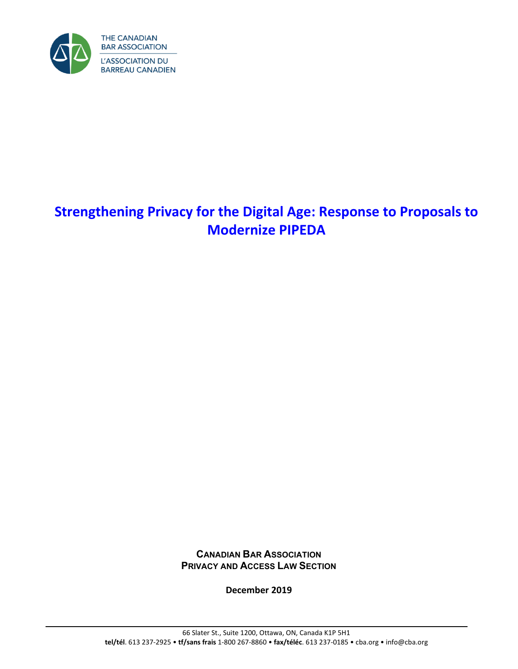

# **Strengthening Privacy for the Digital Age: Response to Proposals to Modernize PIPEDA**

**CANADIAN BAR ASSOCIATION PRIVACY AND ACCESS LAW SECTION**

**December 2019**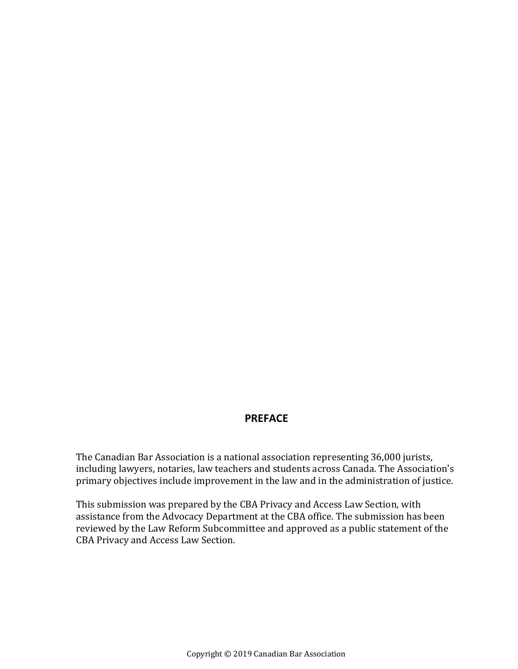### **PREFACE**

The Canadian Bar Association is a national association representing 36,000 jurists, including lawyers, notaries, law teachers and students across Canada. The Association's primary objectives include improvement in the law and in the administration of justice.

This submission was prepared by the CBA Privacy and Access Law Section, with assistance from the Advocacy Department at the CBA office. The submission has been reviewed by the Law Reform Subcommittee and approved as a public statement of the CBA Privacy and Access Law Section.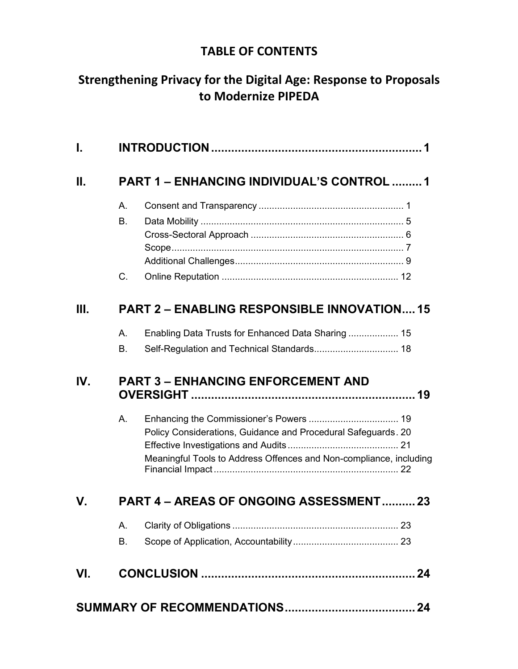# **TABLE OF CONTENTS**

# **Strengthening Privacy for the Digital Age: Response to Proposals to Modernize PIPEDA**

| I.  |                                                    |                                                                                                                                     |
|-----|----------------------------------------------------|-------------------------------------------------------------------------------------------------------------------------------------|
| П.  |                                                    | <b>PART 1 - ENHANCING INDIVIDUAL'S CONTROL 1</b>                                                                                    |
|     | A.                                                 |                                                                                                                                     |
|     | <b>B.</b>                                          |                                                                                                                                     |
|     |                                                    |                                                                                                                                     |
|     |                                                    |                                                                                                                                     |
|     | C.                                                 |                                                                                                                                     |
| Ш.  | <b>PART 2 – ENABLING RESPONSIBLE INNOVATION 15</b> |                                                                                                                                     |
|     | A.                                                 | Enabling Data Trusts for Enhanced Data Sharing  15                                                                                  |
|     | <b>B.</b>                                          |                                                                                                                                     |
| IV. | <b>PART 3 - ENHANCING ENFORCEMENT AND</b>          |                                                                                                                                     |
|     | A.                                                 | Policy Considerations, Guidance and Procedural Safeguards. 20<br>Meaningful Tools to Address Offences and Non-compliance, including |
| V.  | PART 4 - AREAS OF ONGOING ASSESSMENT23             |                                                                                                                                     |
|     | Α.                                                 |                                                                                                                                     |
|     | В.                                                 |                                                                                                                                     |
| VI. |                                                    |                                                                                                                                     |
|     |                                                    |                                                                                                                                     |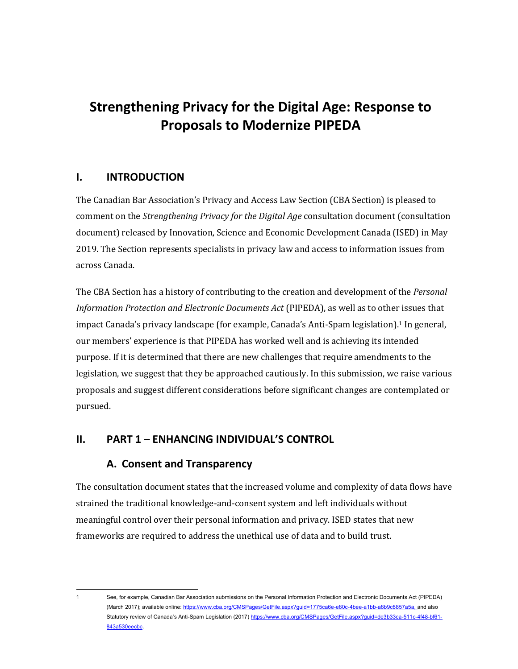# **Strengthening Privacy for the Digital Age: Response to Proposals to Modernize PIPEDA**

### <span id="page-4-0"></span>**I. INTRODUCTION**

The Canadian Bar Association's Privacy and Access Law Section (CBA Section) is pleased to comment on the *Strengthening Privacy for the Digital Age* consultation document (consultation document) released by Innovation, Science and Economic Development Canada (ISED) in May 2019. The Section represents specialists in privacy law and access to information issues from across Canada.

The CBA Section has a history of contributing to the creation and development of the *Personal Information Protection and Electronic Documents Act* (PIPEDA), as well as to other issues that impact Canada's privacy landscape (for example, Canada's Anti-Spam legislation).<sup>1</sup> In general, our members' experience is that PIPEDA has worked well and is achieving its intended purpose. If it is determined that there are new challenges that require amendments to the legislation, we suggest that they be approached cautiously. In this submission, we raise various proposals and suggest different considerations before significant changes are contemplated or pursued.

### <span id="page-4-2"></span><span id="page-4-1"></span>**II. PART 1 – ENHANCING INDIVIDUAL'S CONTROL**

### **A. Consent and Transparency**

The consultation document states that the increased volume and complexity of data flows have strained the traditional knowledge-and-consent system and left individuals without meaningful control over their personal information and privacy. ISED states that new frameworks are required to address the unethical use of data and to build trust.

<sup>1</sup> See, for example, Canadian Bar Association submissions on the Personal Information Protection and Electronic Documents Act (PIPEDA) (March 2017); available online[: https://www.cba.org/CMSPages/GetFile.aspx?guid=1775ca6e-e80c-4bee-a1bb-a8b9c8857a5a,](https://www.cba.org/CMSPages/GetFile.aspx?guid=1775ca6e-e80c-4bee-a1bb-a8b9c8857a5a) and also Statutory review of Canada's Anti-Spam Legislation (2017[\) https://www.cba.org/CMSPages/GetFile.aspx?guid=de3b33ca-511c-4f48-bf61-](https://www.cba.org/CMSPages/GetFile.aspx?guid=de3b33ca-511c-4f48-bf61-843a530eecbc) [843a530eecbc.](https://www.cba.org/CMSPages/GetFile.aspx?guid=de3b33ca-511c-4f48-bf61-843a530eecbc)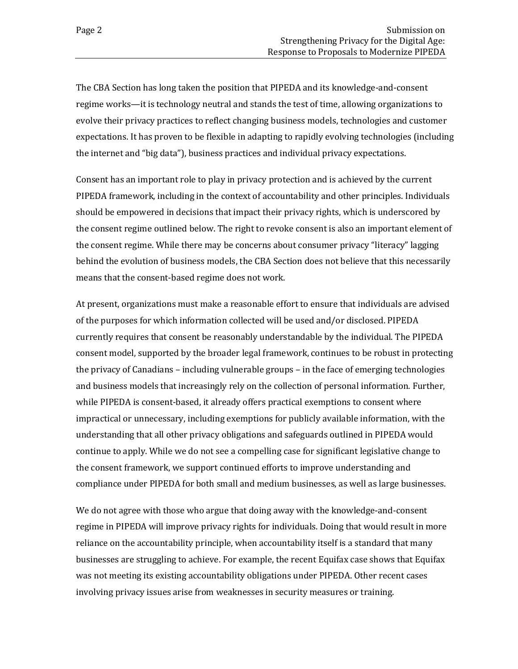The CBA Section has long taken the position that PIPEDA and its knowledge-and-consent regime works—it is technology neutral and stands the test of time, allowing organizations to evolve their privacy practices to reflect changing business models, technologies and customer expectations. It has proven to be flexible in adapting to rapidly evolving technologies (including the internet and "big data"), business practices and individual privacy expectations.

Consent has an important role to play in privacy protection and is achieved by the current PIPEDA framework, including in the context of accountability and other principles. Individuals should be empowered in decisions that impact their privacy rights, which is underscored by the consent regime outlined below. The right to revoke consent is also an important element of the consent regime. While there may be concerns about consumer privacy "literacy" lagging behind the evolution of business models, the CBA Section does not believe that this necessarily means that the consent-based regime does not work.

At present, organizations must make a reasonable effort to ensure that individuals are advised of the purposes for which information collected will be used and/or disclosed. PIPEDA currently requires that consent be reasonably understandable by the individual. The PIPEDA consent model, supported by the broader legal framework, continues to be robust in protecting the privacy of Canadians – including vulnerable groups – in the face of emerging technologies and business models that increasingly rely on the collection of personal information. Further, while PIPEDA is consent-based, it already offers practical exemptions to consent where impractical or unnecessary, including exemptions for publicly available information, with the understanding that all other privacy obligations and safeguards outlined in PIPEDA would continue to apply. While we do not see a compelling case for significant legislative change to the consent framework, we support continued efforts to improve understanding and compliance under PIPEDA for both small and medium businesses, as well as large businesses.

We do not agree with those who argue that doing away with the knowledge-and-consent regime in PIPEDA will improve privacy rights for individuals. Doing that would result in more reliance on the accountability principle, when accountability itself is a standard that many businesses are struggling to achieve. For example, the recent Equifax case shows that Equifax was not meeting its existing accountability obligations under PIPEDA. Other recent cases involving privacy issues arise from weaknesses in security measures or training.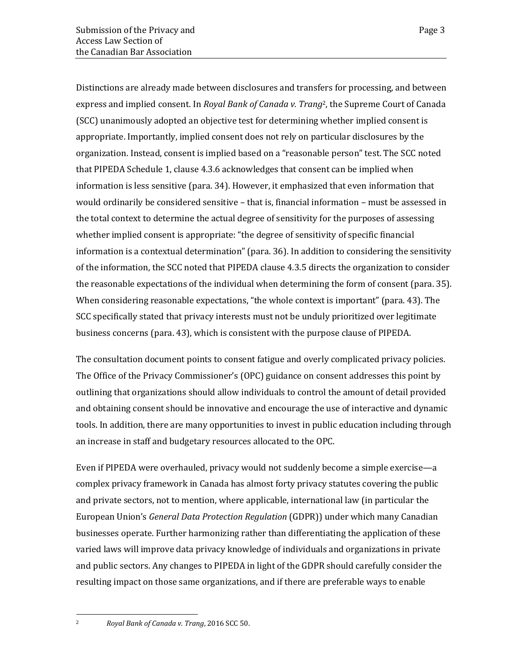Distinctions are already made between disclosures and transfers for processing, and between express and implied consent. In *Royal Bank of Canada v. Trang*2, the Supreme Court of Canada (SCC) unanimously adopted an objective test for determining whether implied consent is appropriate. Importantly, implied consent does not rely on particular disclosures by the organization. Instead, consent is implied based on a "reasonable person" test. The SCC noted that PIPEDA Schedule 1, clause 4.3.6 acknowledges that consent can be implied when information is less sensitive (para. 34). However, it emphasized that even information that would ordinarily be considered sensitive – that is, financial information – must be assessed in the total context to determine the actual degree of sensitivity for the purposes of assessing whether implied consent is appropriate: "the degree of sensitivity of specific financial information is a contextual determination" (para. 36). In addition to considering the sensitivity of the information, the SCC noted that PIPEDA clause 4.3.5 directs the organization to consider the reasonable expectations of the individual when determining the form of consent (para. 35). When considering reasonable expectations, "the whole context is important" (para. 43). The SCC specifically stated that privacy interests must not be unduly prioritized over legitimate business concerns (para. 43), which is consistent with the purpose clause of PIPEDA.

The consultation document points to consent fatigue and overly complicated privacy policies. The Office of the Privacy Commissioner's (OPC) guidance on consent addresses this point by outlining that organizations should allow individuals to control the amount of detail provided and obtaining consent should be innovative and encourage the use of interactive and dynamic tools. In addition, there are many opportunities to invest in public education including through an increase in staff and budgetary resources allocated to the OPC.

Even if PIPEDA were overhauled, privacy would not suddenly become a simple exercise—a complex privacy framework in Canada has almost forty privacy statutes covering the public and private sectors, not to mention, where applicable, international law (in particular the European Union's *General Data Protection Regulation* (GDPR)) under which many Canadian businesses operate. Further harmonizing rather than differentiating the application of these varied laws will improve data privacy knowledge of individuals and organizations in private and public sectors. Any changes to PIPEDA in light of the GDPR should carefully consider the resulting impact on those same organizations, and if there are preferable ways to enable

<sup>2</sup> *Royal Bank of Canada v. Trang*, 2016 SCC 50.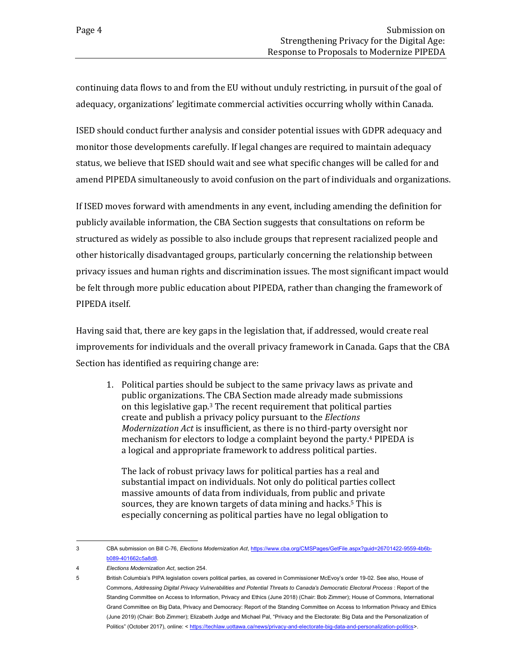continuing data flows to and from the EU without unduly restricting, in pursuit of the goal of adequacy, organizations' legitimate commercial activities occurring wholly within Canada.

ISED should conduct further analysis and consider potential issues with GDPR adequacy and monitor those developments carefully. If legal changes are required to maintain adequacy status, we believe that ISED should wait and see what specific changes will be called for and amend PIPEDA simultaneously to avoid confusion on the part of individuals and organizations.

If ISED moves forward with amendments in any event, including amending the definition for publicly available information, the CBA Section suggests that consultations on reform be structured as widely as possible to also include groups that represent racialized people and other historically disadvantaged groups, particularly concerning the relationship between privacy issues and human rights and discrimination issues. The most significant impact would be felt through more public education about PIPEDA, rather than changing the framework of PIPEDA itself.

Having said that, there are key gaps in the legislation that, if addressed, would create real improvements for individuals and the overall privacy framework in Canada. Gaps that the CBA Section has identified as requiring change are:

1. Political parties should be subject to the same privacy laws as private and public organizations. The CBA Section made already made submissions on this legislative gap.<sup>3</sup> The recent requirement that political parties create and publish a privacy policy pursuant to the *Elections Modernization Act* is insufficient, as there is no third-party oversight nor mechanism for electors to lodge a complaint beyond the party.<sup>4</sup> PIPEDA is a logical and appropriate framework to address political parties.

The lack of robust privacy laws for political parties has a real and substantial impact on individuals. Not only do political parties collect massive amounts of data from individuals, from public and private sources, they are known targets of data mining and hacks.<sup>5</sup> This is especially concerning as political parties have no legal obligation to

<sup>3</sup> CBA submission on Bill C-76, *Elections Modernization Act*[, https://www.cba.org/CMSPages/GetFile.aspx?guid=26701422-9559-4b6b](https://www.cba.org/CMSPages/GetFile.aspx?guid=26701422-9559-4b6b-b089-401662c5a8d8)[b089-401662c5a8d8.](https://www.cba.org/CMSPages/GetFile.aspx?guid=26701422-9559-4b6b-b089-401662c5a8d8) 

<sup>4</sup> *Elections Modernization Act*, section 254.

<sup>5</sup> British Columbia's PIPA legislation covers political parties, as covered in Commissioner McEvoy's order 19-02. See also, House of Commons, *Addressing Digital Privacy Vulnerabilities and Potential Threats to Canada's Democratic Electoral Process* : Report of the Standing Committee on Access to Information, Privacy and Ethics (June 2018) (Chair: Bob Zimmer); House of Commons, International Grand Committee on Big Data, Privacy and Democracy: Report of the Standing Committee on Access to Information Privacy and Ethics (June 2019) (Chair: Bob Zimmer); Elizabeth Judge and Michael Pal, "Privacy and the Electorate: Big Data and the Personalization of Politics" (October 2017), online: < [https://techlaw.uottawa.ca/news/privacy-and-electorate-big-data-and-personalization-politics>](https://techlaw.uottawa.ca/news/privacy-and-electorate-big-data-and-personalization-politics).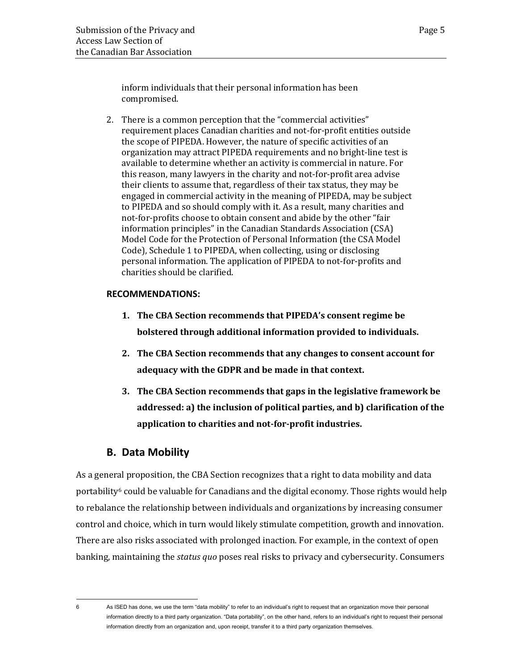inform individuals that their personal information has been compromised.

2. There is a common perception that the "commercial activities" requirement places Canadian charities and not-for-profit entities outside the scope of PIPEDA. However, the nature of specific activities of an organization may attract PIPEDA requirements and no bright-line test is available to determine whether an activity is commercial in nature. For this reason, many lawyers in the charity and not-for-profit area advise their clients to assume that, regardless of their tax status, they may be engaged in commercial activity in the meaning of PIPEDA, may be subject to PIPEDA and so should comply with it. As a result, many charities and not-for-profits choose to obtain consent and abide by the other "fair information principles" in the Canadian Standards Association (CSA) Model Code for the Protection of Personal Information (the CSA Model Code), Schedule 1 to PIPEDA, when collecting, using or disclosing personal information. The application of PIPEDA to not-for-profits and charities should be clarified.

### **RECOMMENDATIONS:**

- **1. The CBA Section recommends that PIPEDA's consent regime be bolstered through additional information provided to individuals.**
- **2. The CBA Section recommends that any changes to consent account for adequacy with the GDPR and be made in that context.**
- **3. The CBA Section recommends that gaps in the legislative framework be addressed: a) the inclusion of political parties, and b) clarification of the application to charities and not-for-profit industries.**

### **B. Data Mobility**

<span id="page-8-0"></span>As a general proposition, the CBA Section recognizes that a right to data mobility and data portability<sup>6</sup> could be valuable for Canadians and the digital economy. Those rights would help to rebalance the relationship between individuals and organizations by increasing consumer control and choice, which in turn would likely stimulate competition, growth and innovation. There are also risks associated with prolonged inaction. For example, in the context of open banking, maintaining the *status quo* poses real risks to privacy and cybersecurity. Consumers

<sup>6</sup> As ISED has done, we use the term "data mobility" to refer to an individual's right to request that an organization move their personal information directly to a third party organization. "Data portability", on the other hand, refers to an individual's right to request their personal information directly from an organization and, upon receipt, transfer it to a third party organization themselves.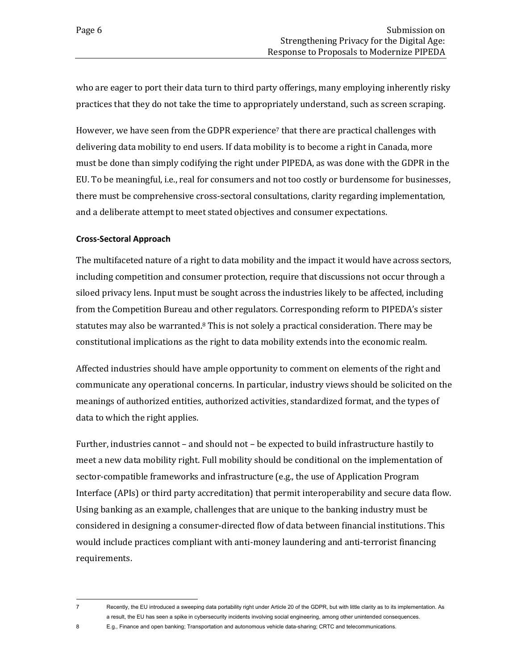who are eager to port their data turn to third party offerings, many employing inherently risky practices that they do not take the time to appropriately understand, such as screen scraping.

However, we have seen from the GDPR experience<sup>7</sup> that there are practical challenges with delivering data mobility to end users. If data mobility is to become a right in Canada, more must be done than simply codifying the right under PIPEDA, as was done with the GDPR in the EU. To be meaningful, i.e., real for consumers and not too costly or burdensome for businesses, there must be comprehensive cross-sectoral consultations, clarity regarding implementation, and a deliberate attempt to meet stated objectives and consumer expectations.

### <span id="page-9-0"></span>**Cross-Sectoral Approach**

The multifaceted nature of a right to data mobility and the impact it would have across sectors, including competition and consumer protection, require that discussions not occur through a siloed privacy lens. Input must be sought across the industries likely to be affected, including from the Competition Bureau and other regulators. Corresponding reform to PIPEDA's sister statutes may also be warranted. $8$  This is not solely a practical consideration. There may be constitutional implications as the right to data mobility extends into the economic realm.

Affected industries should have ample opportunity to comment on elements of the right and communicate any operational concerns. In particular, industry views should be solicited on the meanings of authorized entities, authorized activities, standardized format, and the types of data to which the right applies.

Further, industries cannot – and should not – be expected to build infrastructure hastily to meet a new data mobility right. Full mobility should be conditional on the implementation of sector-compatible frameworks and infrastructure (e.g., the use of Application Program Interface (APIs) or third party accreditation) that permit interoperability and secure data flow. Using banking as an example, challenges that are unique to the banking industry must be considered in designing a consumer-directed flow of data between financial institutions. This would include practices compliant with anti-money laundering and anti-terrorist financing requirements.

<sup>7</sup> Recently, the EU introduced a sweeping data portability right under Article 20 of the GDPR, but with little clarity as to its implementation. As a result, the EU has seen a spike in cybersecurity incidents involving social engineering, among other unintended consequences. 8 E.g., Finance and open banking; Transportation and autonomous vehicle data-sharing; CRTC and telecommunications.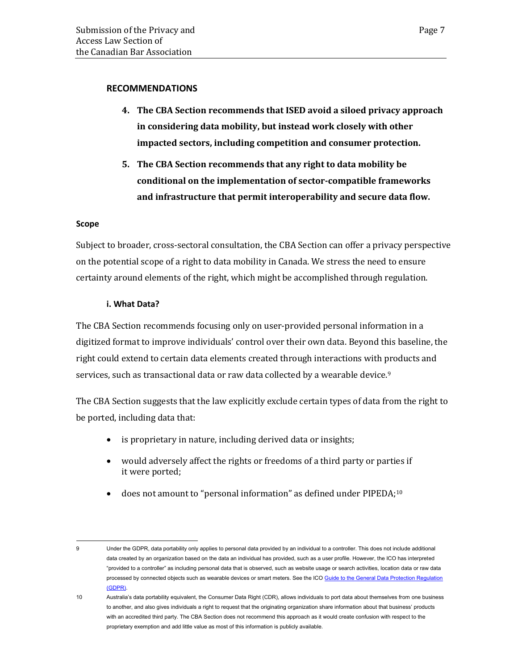#### **RECOMMENDATIONS**

- **4. The CBA Section recommends that ISED avoid a siloed privacy approach in considering data mobility, but instead work closely with other impacted sectors, including competition and consumer protection.**
- **5. The CBA Section recommends that any right to data mobility be conditional on the implementation of sector-compatible frameworks and infrastructure that permit interoperability and secure data flow.**

#### <span id="page-10-0"></span>**Scope**

Subject to broader, cross-sectoral consultation, the CBA Section can offer a privacy perspective on the potential scope of a right to data mobility in Canada. We stress the need to ensure certainty around elements of the right, which might be accomplished through regulation.

#### **i. What Data?**

The CBA Section recommends focusing only on user-provided personal information in a digitized format to improve individuals' control over their own data. Beyond this baseline, the right could extend to certain data elements created through interactions with products and services, such as transactional data or raw data collected by a wearable device.<sup>9</sup>

The CBA Section suggests that the law explicitly exclude certain types of data from the right to be ported, including data that:

- is proprietary in nature, including derived data or insights;
- would adversely affect the rights or freedoms of a third party or parties if it were ported;
- does not amount to "personal information" as defined under PIPEDA;<sup>10</sup>

<sup>9</sup> Under the GDPR, data portability only applies to personal data provided by an individual to a controller. This does not include additional data created by an organization based on the data an individual has provided, such as a user profile. However, the ICO has interpreted "provided to a controller" as including personal data that is observed, such as website usage or search activities, location data or raw data processed by connected objects such as wearable devices or smart meters. See the ICO Guide to the [General Data Protection Regulation](https://ico.org.uk/media/for-organisations/guide-to-data-protection/guide-to-the-general-data-protection-regulation-gdpr-1-0.pdf)  [\(GDPR\).](https://ico.org.uk/media/for-organisations/guide-to-data-protection/guide-to-the-general-data-protection-regulation-gdpr-1-0.pdf)

<sup>10</sup> Australia's data portability equivalent, the Consumer Data Right (CDR), allows individuals to port data about themselves from one business to another, and also gives individuals a right to request that the originating organization share information about that business' products with an accredited third party. The CBA Section does not recommend this approach as it would create confusion with respect to the proprietary exemption and add little value as most of this information is publicly available.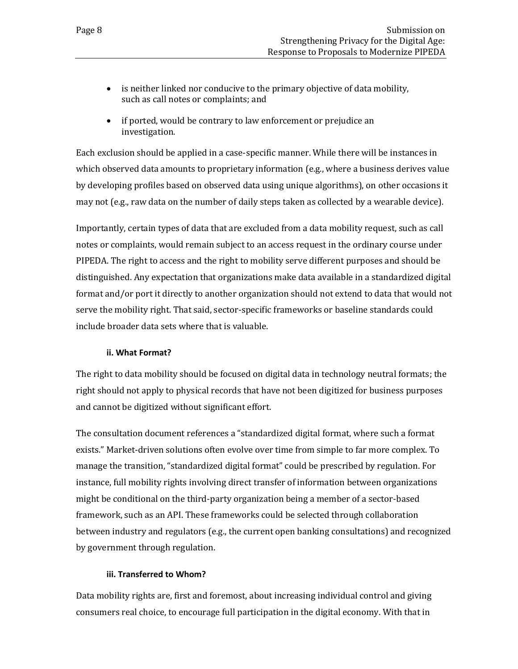- is neither linked nor conducive to the primary objective of data mobility, such as call notes or complaints; and
- if ported, would be contrary to law enforcement or prejudice an investigation.

Each exclusion should be applied in a case-specific manner. While there will be instances in which observed data amounts to proprietary information (e.g., where a business derives value by developing profiles based on observed data using unique algorithms), on other occasions it may not (e.g., raw data on the number of daily steps taken as collected by a wearable device).

Importantly, certain types of data that are excluded from a data mobility request, such as call notes or complaints, would remain subject to an access request in the ordinary course under PIPEDA. The right to access and the right to mobility serve different purposes and should be distinguished. Any expectation that organizations make data available in a standardized digital format and/or port it directly to another organization should not extend to data that would not serve the mobility right. That said, sector-specific frameworks or baseline standards could include broader data sets where that is valuable.

### **ii. What Format?**

The right to data mobility should be focused on digital data in technology neutral formats; the right should not apply to physical records that have not been digitized for business purposes and cannot be digitized without significant effort.

The consultation document references a "standardized digital format, where such a format exists." Market-driven solutions often evolve over time from simple to far more complex. To manage the transition, "standardized digital format" could be prescribed by regulation. For instance, full mobility rights involving direct transfer of information between organizations might be conditional on the third-party organization being a member of a sector-based framework, such as an API. These frameworks could be selected through collaboration between industry and regulators (e.g., the current open banking consultations) and recognized by government through regulation.

#### **iii. Transferred to Whom?**

Data mobility rights are, first and foremost, about increasing individual control and giving consumers real choice, to encourage full participation in the digital economy. With that in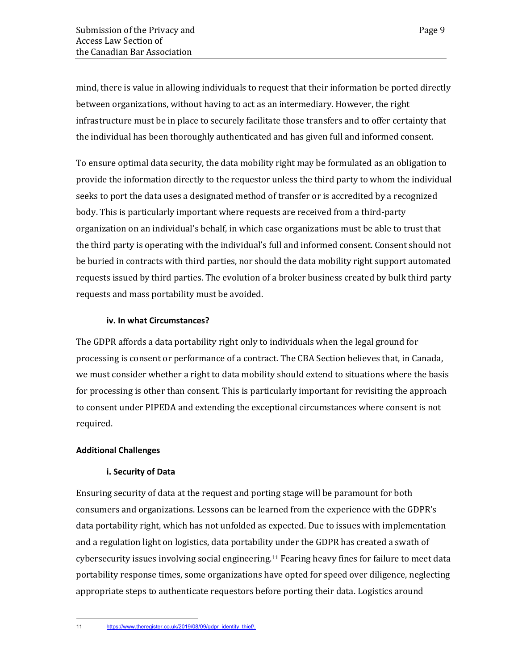mind, there is value in allowing individuals to request that their information be ported directly between organizations, without having to act as an intermediary. However, the right infrastructure must be in place to securely facilitate those transfers and to offer certainty that the individual has been thoroughly authenticated and has given full and informed consent.

To ensure optimal data security, the data mobility right may be formulated as an obligation to provide the information directly to the requestor unless the third party to whom the individual seeks to port the data uses a designated method of transfer or is accredited by a recognized body. This is particularly important where requests are received from a third-party organization on an individual's behalf, in which case organizations must be able to trust that the third party is operating with the individual's full and informed consent. Consent should not be buried in contracts with third parties, nor should the data mobility right support automated requests issued by third parties. The evolution of a broker business created by bulk third party requests and mass portability must be avoided.

### **iv. In what Circumstances?**

The GDPR affords a data portability right only to individuals when the legal ground for processing is consent or performance of a contract. The CBA Section believes that, in Canada, we must consider whether a right to data mobility should extend to situations where the basis for processing is other than consent. This is particularly important for revisiting the approach to consent under PIPEDA and extending the exceptional circumstances where consent is not required.

#### <span id="page-12-0"></span>**Additional Challenges**

### **i. Security of Data**

Ensuring security of data at the request and porting stage will be paramount for both consumers and organizations. Lessons can be learned from the experience with the GDPR's data portability right, which has not unfolded as expected. Due to issues with implementation and a regulation light on logistics, data portability under the GDPR has created a swath of cybersecurity issues involving social engineering.<sup>11</sup> Fearing heavy fines for failure to meet data portability response times, some organizations have opted for speed over diligence, neglecting appropriate steps to authenticate requestors before porting their data. Logistics around

<sup>11</sup> [https://www.theregister.co.uk/2019/08/09/gdpr\\_identity\\_thief/.](https://www.theregister.co.uk/2019/08/09/gdpr_identity_thief/)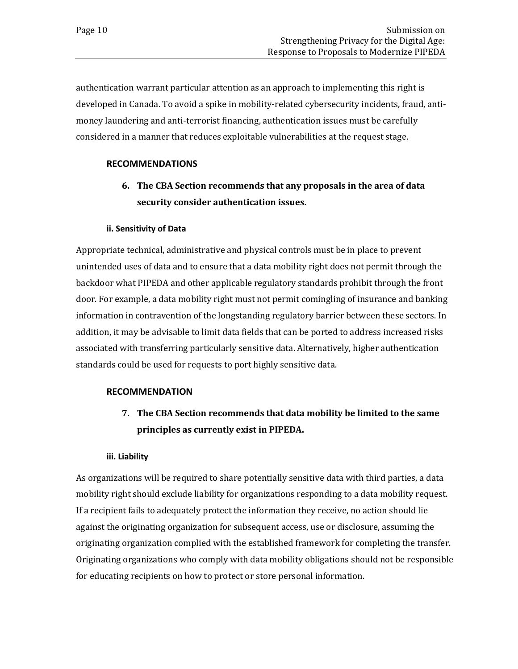authentication warrant particular attention as an approach to implementing this right is developed in Canada. To avoid a spike in mobility-related cybersecurity incidents, fraud, antimoney laundering and anti-terrorist financing, authentication issues must be carefully considered in a manner that reduces exploitable vulnerabilities at the request stage.

### **RECOMMENDATIONS**

**6. The CBA Section recommends that any proposals in the area of data security consider authentication issues.** 

### **ii. Sensitivity of Data**

Appropriate technical, administrative and physical controls must be in place to prevent unintended uses of data and to ensure that a data mobility right does not permit through the backdoor what PIPEDA and other applicable regulatory standards prohibit through the front door. For example, a data mobility right must not permit comingling of insurance and banking information in contravention of the longstanding regulatory barrier between these sectors. In addition, it may be advisable to limit data fields that can be ported to address increased risks associated with transferring particularly sensitive data. Alternatively, higher authentication standards could be used for requests to port highly sensitive data.

#### **RECOMMENDATION**

**7. The CBA Section recommends that data mobility be limited to the same principles as currently exist in PIPEDA.**

#### **iii. Liability**

As organizations will be required to share potentially sensitive data with third parties, a data mobility right should exclude liability for organizations responding to a data mobility request. If a recipient fails to adequately protect the information they receive, no action should lie against the originating organization for subsequent access, use or disclosure, assuming the originating organization complied with the established framework for completing the transfer. Originating organizations who comply with data mobility obligations should not be responsible for educating recipients on how to protect or store personal information.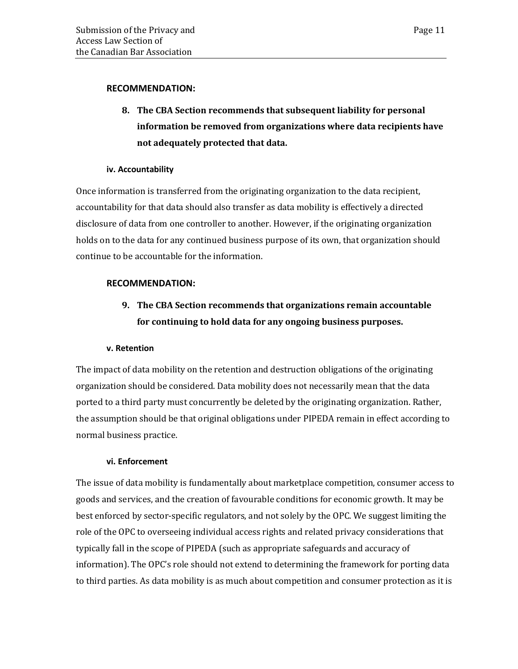#### **RECOMMENDATION:**

**8. The CBA Section recommends that subsequent liability for personal information be removed from organizations where data recipients have not adequately protected that data.** 

### **iv. Accountability**

Once information is transferred from the originating organization to the data recipient, accountability for that data should also transfer as data mobility is effectively a directed disclosure of data from one controller to another. However, if the originating organization holds on to the data for any continued business purpose of its own, that organization should continue to be accountable for the information.

### **RECOMMENDATION:**

# **9. The CBA Section recommends that organizations remain accountable for continuing to hold data for any ongoing business purposes.**

### **v. Retention**

The impact of data mobility on the retention and destruction obligations of the originating organization should be considered. Data mobility does not necessarily mean that the data ported to a third party must concurrently be deleted by the originating organization. Rather, the assumption should be that original obligations under PIPEDA remain in effect according to normal business practice.

### **vi. Enforcement**

The issue of data mobility is fundamentally about marketplace competition, consumer access to goods and services, and the creation of favourable conditions for economic growth. It may be best enforced by sector-specific regulators, and not solely by the OPC. We suggest limiting the role of the OPC to overseeing individual access rights and related privacy considerations that typically fall in the scope of PIPEDA (such as appropriate safeguards and accuracy of information). The OPC's role should not extend to determining the framework for porting data to third parties. As data mobility is as much about competition and consumer protection as it is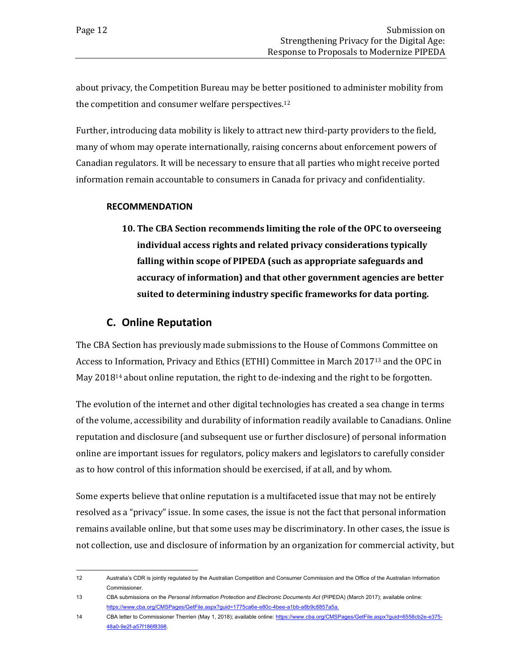about privacy, the Competition Bureau may be better positioned to administer mobility from the competition and consumer welfare perspectives.<sup>12</sup>

Further, introducing data mobility is likely to attract new third-party providers to the field, many of whom may operate internationally, raising concerns about enforcement powers of Canadian regulators. It will be necessary to ensure that all parties who might receive ported information remain accountable to consumers in Canada for privacy and confidentiality.

### **RECOMMENDATION**

**10. The CBA Section recommends limiting the role of the OPC to overseeing individual access rights and related privacy considerations typically falling within scope of PIPEDA (such as appropriate safeguards and accuracy of information) and that other government agencies are better suited to determining industry specific frameworks for data porting.**

### **C. Online Reputation**

<span id="page-15-0"></span>The CBA Section has previously made submissions to the House of Commons Committee on Access to Information, Privacy and Ethics (ETHI) Committee in March 2017<sup>13</sup> and the OPC in May 2018<sup>14</sup> about online reputation, the right to de-indexing and the right to be forgotten.

The evolution of the internet and other digital technologies has created a sea change in terms of the volume, accessibility and durability of information readily available to Canadians. Online reputation and disclosure (and subsequent use or further disclosure) of personal information online are important issues for regulators, policy makers and legislators to carefully consider as to how control of this information should be exercised, if at all, and by whom.

Some experts believe that online reputation is a multifaceted issue that may not be entirely resolved as a "privacy" issue. In some cases, the issue is not the fact that personal information remains available online, but that some uses may be discriminatory. In other cases, the issue is not collection, use and disclosure of information by an organization for commercial activity, but

<sup>12</sup> Australia's CDR is jointly regulated by the Australian Competition and Consumer Commission and the Office of the Australian Information Commissioner.

<sup>13</sup> CBA submissions on the *Personal Information Protection and Electronic Documents Act* (PIPEDA) (March 2017); available online: [https://www.cba.org/CMSPages/GetFile.aspx?guid=1775ca6e-e80c-4bee-a1bb-a8b9c8857a5a.](https://www.cba.org/CMSPages/GetFile.aspx?guid=1775ca6e-e80c-4bee-a1bb-a8b9c8857a5a)

<sup>14</sup> CBA letter to Commissioner Therrien (May 1, 2018); available online[: https://www.cba.org/CMSPages/GetFile.aspx?guid=6558cb2e-e375-](https://www.cba.org/CMSPages/GetFile.aspx?guid=6558cb2e-e375-48a0-9e2f-a57f186f8398) [48a0-9e2f-a57f186f8398.](https://www.cba.org/CMSPages/GetFile.aspx?guid=6558cb2e-e375-48a0-9e2f-a57f186f8398)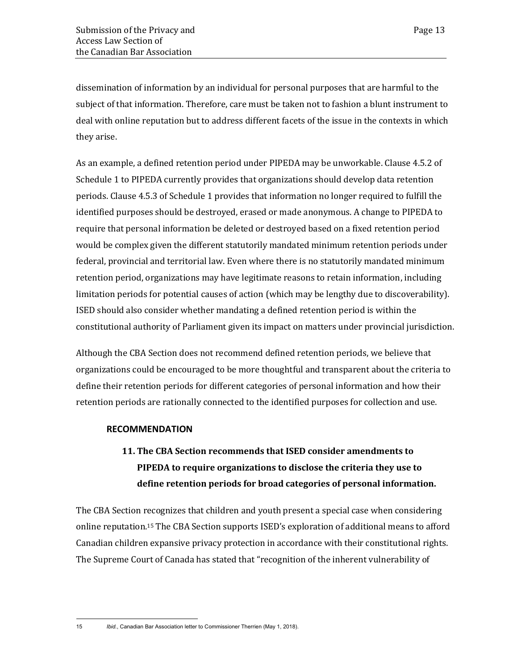dissemination of information by an individual for personal purposes that are harmful to the subject of that information. Therefore, care must be taken not to fashion a blunt instrument to deal with online reputation but to address different facets of the issue in the contexts in which they arise.

As an example, a defined retention period under PIPEDA may be unworkable. Clause 4.5.2 of Schedule 1 to PIPEDA currently provides that organizations should develop data retention periods. Clause 4.5.3 of Schedule 1 provides that information no longer required to fulfill the identified purposes should be destroyed, erased or made anonymous. A change to PIPEDA to require that personal information be deleted or destroyed based on a fixed retention period would be complex given the different statutorily mandated minimum retention periods under federal, provincial and territorial law. Even where there is no statutorily mandated minimum retention period, organizations may have legitimate reasons to retain information, including limitation periods for potential causes of action (which may be lengthy due to discoverability). ISED should also consider whether mandating a defined retention period is within the constitutional authority of Parliament given its impact on matters under provincial jurisdiction.

Although the CBA Section does not recommend defined retention periods, we believe that organizations could be encouraged to be more thoughtful and transparent about the criteria to define their retention periods for different categories of personal information and how their retention periods are rationally connected to the identified purposes for collection and use.

### **RECOMMENDATION**

# **11. The CBA Section recommends that ISED consider amendments to PIPEDA to require organizations to disclose the criteria they use to define retention periods for broad categories of personal information.**

The CBA Section recognizes that children and youth present a special case when considering online reputation.<sup>15</sup> The CBA Section supports ISED's exploration of additional means to afford Canadian children expansive privacy protection in accordance with their constitutional rights. The Supreme Court of Canada has stated that "recognition of the inherent vulnerability of

15 *Ibid.*, Canadian Bar Association letter to Commissioner Therrien (May 1, 2018).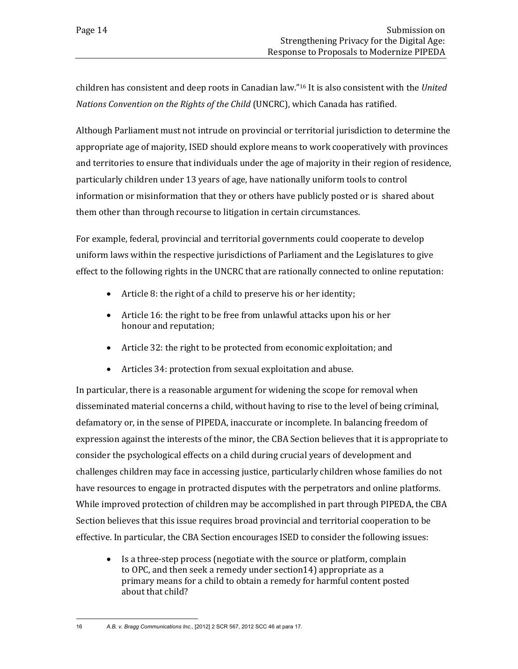children has consistent and deep roots in Canadian law."<sup>16</sup> It is also consistent with the *United Nations Convention on the Rights of the Child* (UNCRC), which Canada has ratified.

Although Parliament must not intrude on provincial or territorial jurisdiction to determine the appropriate age of majority, ISED should explore means to work cooperatively with provinces and territories to ensure that individuals under the age of majority in their region of residence, particularly children under 13 years of age, have nationally uniform tools to control information or misinformation that they or others have publicly posted or is shared about them other than through recourse to litigation in certain circumstances.

For example, federal, provincial and territorial governments could cooperate to develop uniform laws within the respective jurisdictions of Parliament and the Legislatures to give effect to the following rights in the UNCRC that are rationally connected to online reputation:

- Article 8: the right of a child to preserve his or her identity;
- Article 16: the right to be free from unlawful attacks upon his or her honour and reputation;
- Article 32: the right to be protected from economic exploitation; and
- Articles 34: protection from sexual exploitation and abuse.

In particular, there is a reasonable argument for widening the scope for removal when disseminated material concerns a child, without having to rise to the level of being criminal, defamatory or, in the sense of PIPEDA, inaccurate or incomplete. In balancing freedom of expression against the interests of the minor, the CBA Section believes that it is appropriate to consider the psychological effects on a child during crucial years of development and challenges children may face in accessing justice, particularly children whose families do not have resources to engage in protracted disputes with the perpetrators and online platforms. While improved protection of children may be accomplished in part through PIPEDA, the CBA Section believes that this issue requires broad provincial and territorial cooperation to be effective. In particular, the CBA Section encourages ISED to consider the following issues:

• Is a three-step process (negotiate with the source or platform, complain to OPC, and then seek a remedy under section14) appropriate as a primary means for a child to obtain a remedy for harmful content posted about that child?

<sup>16</sup> *A.B. v. Bragg Communications Inc*., [2012] 2 SCR 567, 2012 SCC 46 at para 17.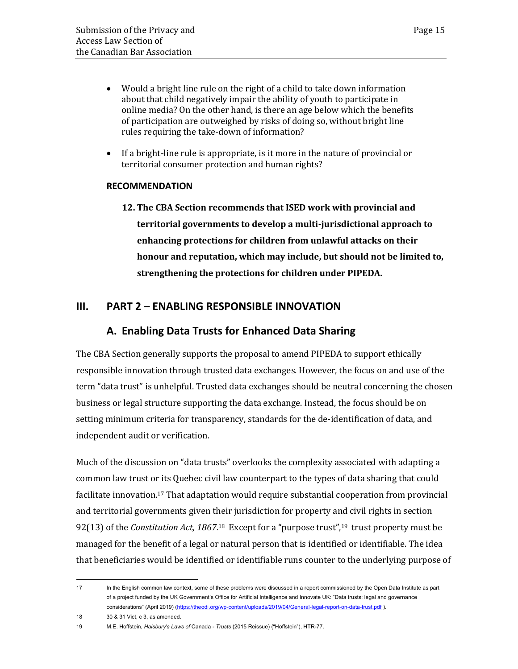- Would a bright line rule on the right of a child to take down information about that child negatively impair the ability of youth to participate in online media? On the other hand, is there an age below which the benefits of participation are outweighed by risks of doing so, without bright line rules requiring the take-down of information?
- If a bright-line rule is appropriate, is it more in the nature of provincial or territorial consumer protection and human rights?

### **RECOMMENDATION**

**12. The CBA Section recommends that ISED work with provincial and territorial governments to develop a multi-jurisdictional approach to enhancing protections for children from unlawful attacks on their honour and reputation, which may include, but should not be limited to, strengthening the protections for children under PIPEDA.**

### <span id="page-18-1"></span><span id="page-18-0"></span>**III. PART 2 – ENABLING RESPONSIBLE INNOVATION**

### **A. Enabling Data Trusts for Enhanced Data Sharing**

The CBA Section generally supports the proposal to amend PIPEDA to support ethically responsible innovation through trusted data exchanges. However, the focus on and use of the term "data trust" is unhelpful. Trusted data exchanges should be neutral concerning the chosen business or legal structure supporting the data exchange. Instead, the focus should be on setting minimum criteria for transparency, standards for the de-identification of data, and independent audit or verification.

Much of the discussion on "data trusts" overlooks the complexity associated with adapting a common law trust or its Quebec civil law counterpart to the types of data sharing that could facilitate innovation.<sup>17</sup> That adaptation would require substantial cooperation from provincial and territorial governments given their jurisdiction for property and civil rights in section 92(13) of the *Constitution Act, 1867*.<sup>18</sup> Except for a "purpose trust",<sup>19</sup> trust property must be managed for the benefit of a legal or natural person that is identified or identifiable. The idea that beneficiaries would be identified or identifiable runs counter to the underlying purpose of

<sup>17</sup> In the English common law context, some of these problems were discussed in a report commissioned by the Open Data Institute as part of a project funded by the UK Government's Office for Artificial Intelligence and Innovate UK: "Data trusts: legal and governance considerations" (April 2019) [\(https://theodi.org/wp-content/uploads/2019/04/General-legal-report-on-data-trust.pdf](https://theodi.org/wp-content/uploads/2019/04/General-legal-report-on-data-trust.pdf) ).

<sup>18</sup> 30 & 31 Vict, c 3, as amended.

<sup>19</sup> M.E. Hoffstein, *Halsbury's Laws of* Canada *- Trusts* (2015 Reissue) ("Hoffstein"), HTR-77.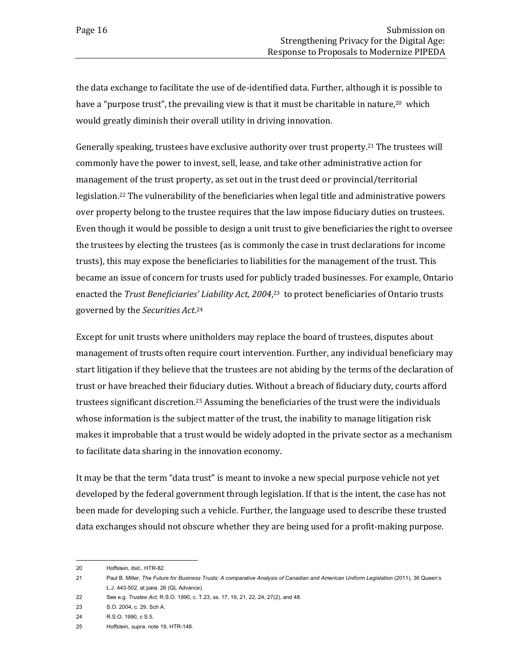the data exchange to facilitate the use of de-identified data. Further, although it is possible to have a "purpose trust", the prevailing view is that it must be charitable in nature,<sup>20</sup> which would greatly diminish their overall utility in driving innovation.

Generally speaking, trustees have exclusive authority over trust property.<sup>21</sup> The trustees will commonly have the power to invest, sell, lease, and take other administrative action for management of the trust property, as set out in the trust deed or provincial/territorial legislation.<sup>22</sup> The vulnerability of the beneficiaries when legal title and administrative powers over property belong to the trustee requires that the law impose fiduciary duties on trustees. Even though it would be possible to design a unit trust to give beneficiaries the right to oversee the trustees by electing the trustees (as is commonly the case in trust declarations for income trusts), this may expose the beneficiaries to liabilities for the management of the trust. This became an issue of concern for trusts used for publicly traded businesses. For example, Ontario enacted the *Trust Beneficiaries' Liability Act, 2004*,<sup>23</sup> to protect beneficiaries of Ontario trusts governed by the *Securities Act*. 24

Except for unit trusts where unitholders may replace the board of trustees, disputes about management of trusts often require court intervention. Further, any individual beneficiary may start litigation if they believe that the trustees are not abiding by the terms of the declaration of trust or have breached their fiduciary duties. Without a breach of fiduciary duty, courts afford trustees significant discretion.<sup>25</sup> Assuming the beneficiaries of the trust were the individuals whose information is the subject matter of the trust, the inability to manage litigation risk makes it improbable that a trust would be widely adopted in the private sector as a mechanism to facilitate data sharing in the innovation economy.

It may be that the term "data trust" is meant to invoke a new special purpose vehicle not yet developed by the federal government through legislation. If that is the intent, the case has not been made for developing such a vehicle. Further, the language used to describe these trusted data exchanges should not obscure whether they are being used for a profit-making purpose.

<sup>20</sup> Hoffstein, ibid., HTR-82.

<sup>21</sup> Paul B. Miller, *The Future for Business Trusts: A comparative Analysis of Canadian and American Uniform Legislation* (2011), 36 Queen's L.J. 443-502, at para. 26 (QL Advance).

<sup>22</sup> See e.g. *Trustee Act,* R.S.O. 1990, c. T.23, ss. 17, 19, 21, 22, 24, 27(2), and 48.

<sup>23</sup> S.O. 2004, c. 29, Sch A.

<sup>24</sup> R.S.O. 1990, c S.5.

<sup>25</sup> Hoffstein, *supra*, note 19, HTR-148.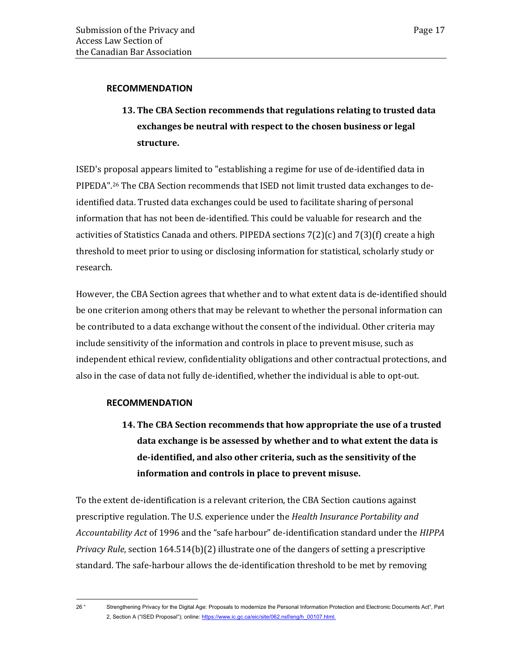### **RECOMMENDATION**

# **13. The CBA Section recommends that regulations relating to trusted data exchanges be neutral with respect to the chosen business or legal structure.**

ISED's proposal appears limited to "establishing a regime for use of de-identified data in PIPEDA".<sup>26</sup> The CBA Section recommends that ISED not limit trusted data exchanges to deidentified data. Trusted data exchanges could be used to facilitate sharing of personal information that has not been de-identified. This could be valuable for research and the activities of Statistics Canada and others. PIPEDA sections  $7(2)(c)$  and  $7(3)(f)$  create a high threshold to meet prior to using or disclosing information for statistical, scholarly study or research.

However, the CBA Section agrees that whether and to what extent data is de-identified should be one criterion among others that may be relevant to whether the personal information can be contributed to a data exchange without the consent of the individual. Other criteria may include sensitivity of the information and controls in place to prevent misuse, such as independent ethical review, confidentiality obligations and other contractual protections, and also in the case of data not fully de-identified, whether the individual is able to opt-out.

### **RECOMMENDATION**

**14. The CBA Section recommends that how appropriate the use of a trusted data exchange is be assessed by whether and to what extent the data is de-identified, and also other criteria, such as the sensitivity of the information and controls in place to prevent misuse.** 

To the extent de-identification is a relevant criterion, the CBA Section cautions against prescriptive regulation. The U.S. experience under the *Health Insurance Portability and Accountability Act* of 1996 and the "safe harbour" de-identification standard under the *HIPPA Privacy Rule*, section 164.514(b)(2) illustrate one of the dangers of setting a prescriptive standard. The safe-harbour allows the de-identification threshold to be met by removing

<sup>26</sup> " Strengthening Privacy for the Digital Age: Proposals to modernize the Personal Information Protection and Electronic Documents Act", Part 2, Section A ("ISED Proposal"); online[: https://www.ic.gc.ca/eic/site/062.nsf/eng/h\\_00107.html.](https://www.ic.gc.ca/eic/site/062.nsf/eng/h_00107.html)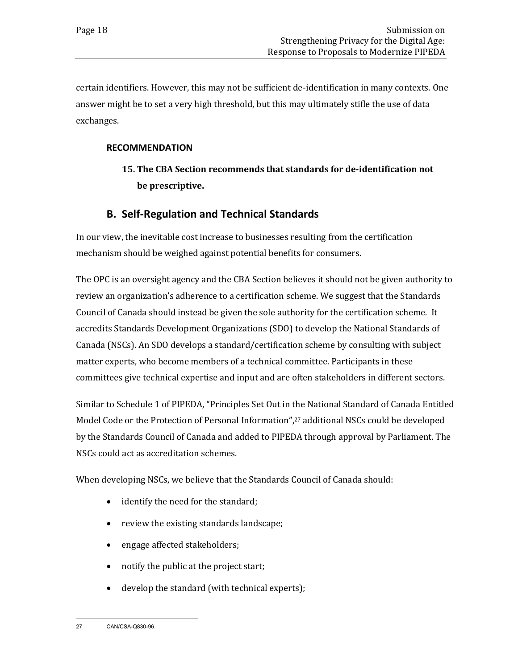certain identifiers. However, this may not be sufficient de-identification in many contexts. One answer might be to set a very high threshold, but this may ultimately stifle the use of data exchanges.

### **RECOMMENDATION**

# **15. The CBA Section recommends that standards for de-identification not be prescriptive.**

### **B. Self-Regulation and Technical Standards**

<span id="page-21-0"></span>In our view, the inevitable cost increase to businesses resulting from the certification mechanism should be weighed against potential benefits for consumers.

The OPC is an oversight agency and the CBA Section believes it should not be given authority to review an organization's adherence to a certification scheme. We suggest that the Standards Council of Canada should instead be given the sole authority for the certification scheme. It accredits Standards Development Organizations (SDO) to develop the National Standards of Canada (NSCs). An SDO develops a standard/certification scheme by consulting with subject matter experts, who become members of a technical committee. Participants in these committees give technical expertise and input and are often stakeholders in different sectors.

Similar to Schedule 1 of PIPEDA, "Principles Set Out in the National Standard of Canada Entitled Model Code or the Protection of Personal Information", <sup>27</sup> additional NSCs could be developed by the Standards Council of Canada and added to PIPEDA through approval by Parliament. The NSCs could act as accreditation schemes.

When developing NSCs, we believe that the Standards Council of Canada should:

- identify the need for the standard;
- review the existing standards landscape;
- engage affected stakeholders;
- notify the public at the project start;
- develop the standard (with technical experts);

<sup>27</sup> CAN/CSA-Q830-96.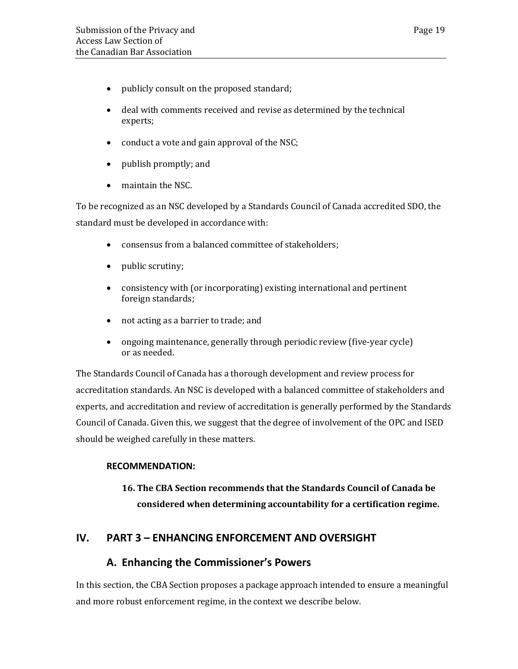- publicly consult on the proposed standard;
- deal with comments received and revise as determined by the technical experts;
- conduct a vote and gain approval of the NSC;
- publish promptly; and
- maintain the NSC.

To be recognized as an NSC developed by a Standards Council of Canada accredited SDO, the standard must be developed in accordance with:

- consensus from a balanced committee of stakeholders;
- public scrutiny;
- consistency with (or incorporating) existing international and pertinent foreign standards;
- not acting as a barrier to trade; and
- ongoing maintenance, generally through periodic review (five-year cycle) or as needed.

The Standards Council of Canada has a thorough development and review process for accreditation standards. An NSC is developed with a balanced committee of stakeholders and experts, and accreditation and review of accreditation is generally performed by the Standards Council of Canada. Given this, we suggest that the degree of involvement of the OPC and ISED should be weighed carefully in these matters.

### **RECOMMENDATION:**

# **16. The CBA Section recommends that the Standards Council of Canada be considered when determining accountability for a certification regime.**

### <span id="page-22-1"></span><span id="page-22-0"></span>**IV. PART 3 – ENHANCING ENFORCEMENT AND OVERSIGHT**

### **A. Enhancing the Commissioner's Powers**

In this section, the CBA Section proposes a package approach intended to ensure a meaningful and more robust enforcement regime, in the context we describe below.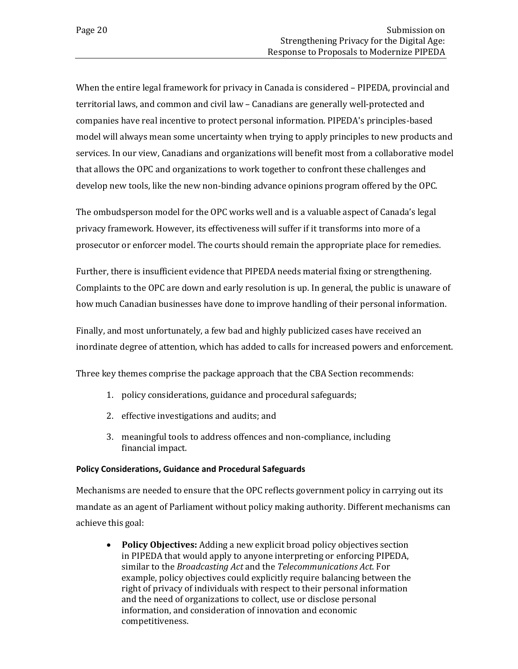When the entire legal framework for privacy in Canada is considered – PIPEDA, provincial and territorial laws, and common and civil law – Canadians are generally well-protected and companies have real incentive to protect personal information. PIPEDA's principles-based model will always mean some uncertainty when trying to apply principles to new products and services. In our view, Canadians and organizations will benefit most from a collaborative model that allows the OPC and organizations to work together to confront these challenges and develop new tools, like the new non-binding advance opinions program offered by the OPC.

The ombudsperson model for the OPC works well and is a valuable aspect of Canada's legal privacy framework. However, its effectiveness will suffer if it transforms into more of a prosecutor or enforcer model. The courts should remain the appropriate place for remedies.

Further, there is insufficient evidence that PIPEDA needs material fixing or strengthening. Complaints to the OPC are down and early resolution is up. In general, the public is unaware of how much Canadian businesses have done to improve handling of their personal information.

Finally, and most unfortunately, a few bad and highly publicized cases have received an inordinate degree of attention, which has added to calls for increased powers and enforcement.

Three key themes comprise the package approach that the CBA Section recommends:

- 1. policy considerations, guidance and procedural safeguards;
- 2. effective investigations and audits; and
- 3. meaningful tools to address offences and non-compliance, including financial impact.

#### <span id="page-23-0"></span>**Policy Considerations, Guidance and Procedural Safeguards**

Mechanisms are needed to ensure that the OPC reflects government policy in carrying out its mandate as an agent of Parliament without policy making authority. Different mechanisms can achieve this goal:

• **Policy Objectives:** Adding a new explicit broad policy objectives section in PIPEDA that would apply to anyone interpreting or enforcing PIPEDA, similar to the *Broadcasting Act* and the *Telecommunications Act*. For example, policy objectives could explicitly require balancing between the right of privacy of individuals with respect to their personal information and the need of organizations to collect, use or disclose personal information, and consideration of innovation and economic competitiveness.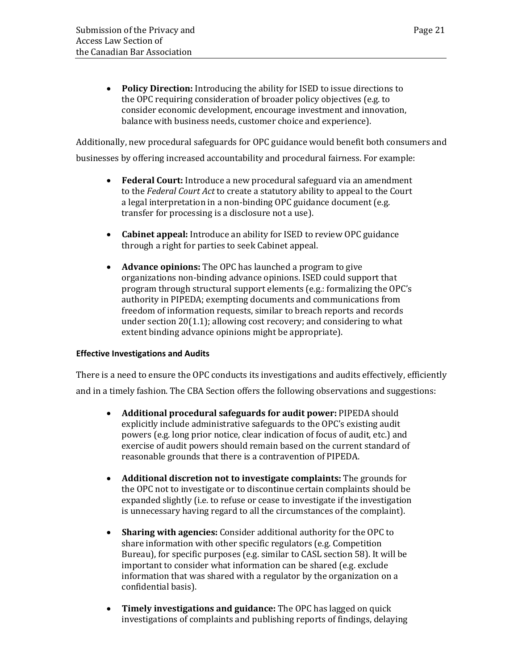• **Policy Direction:** Introducing the ability for ISED to issue directions to the OPC requiring consideration of broader policy objectives (e.g. to consider economic development, encourage investment and innovation, balance with business needs, customer choice and experience).

Additionally, new procedural safeguards for OPC guidance would benefit both consumers and

businesses by offering increased accountability and procedural fairness. For example:

- **Federal Court:** Introduce a new procedural safeguard via an amendment to the *Federal Court Act* to create a statutory ability to appeal to the Court a legal interpretation in a non-binding OPC guidance document (e.g. transfer for processing is a disclosure not a use).
- **Cabinet appeal:** Introduce an ability for ISED to review OPC guidance through a right for parties to seek Cabinet appeal.
- **Advance opinions:** The OPC has launched a program to give organizations non-binding advance opinions. ISED could support that program through structural support elements (e.g.: formalizing the OPC's authority in PIPEDA; exempting documents and communications from freedom of information requests, similar to breach reports and records under section 20(1.1); allowing cost recovery; and considering to what extent binding advance opinions might be appropriate).

#### <span id="page-24-0"></span>**Effective Investigations and Audits**

There is a need to ensure the OPC conducts its investigations and audits effectively, efficiently and in a timely fashion. The CBA Section offers the following observations and suggestions:

- **Additional procedural safeguards for audit power:** PIPEDA should explicitly include administrative safeguards to the OPC's existing audit powers (e.g. long prior notice, clear indication of focus of audit, etc.) and exercise of audit powers should remain based on the current standard of reasonable grounds that there is a contravention of PIPEDA.
- **Additional discretion not to investigate complaints:** The grounds for the OPC not to investigate or to discontinue certain complaints should be expanded slightly (i.e. to refuse or cease to investigate if the investigation is unnecessary having regard to all the circumstances of the complaint).
- **Sharing with agencies:** Consider additional authority for the OPC to share information with other specific regulators (e.g. Competition Bureau), for specific purposes (e.g. similar to CASL section 58). It will be important to consider what information can be shared (e.g. exclude information that was shared with a regulator by the organization on a confidential basis).
- **Timely investigations and guidance:** The OPC has lagged on quick investigations of complaints and publishing reports of findings, delaying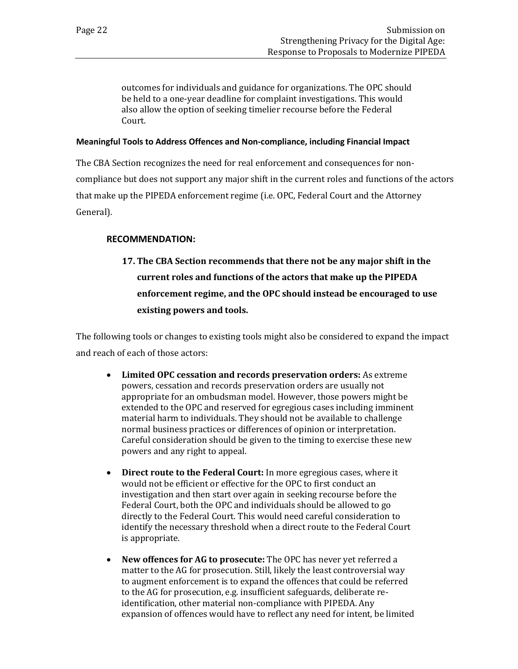outcomes for individuals and guidance for organizations. The OPC should be held to a one-year deadline for complaint investigations. This would also allow the option of seeking timelier recourse before the Federal Court.

#### <span id="page-25-0"></span>**Meaningful Tools to Address Offences and Non-compliance, including Financial Impact**

The CBA Section recognizes the need for real enforcement and consequences for noncompliance but does not support any major shift in the current roles and functions of the actors that make up the PIPEDA enforcement regime (i.e. OPC, Federal Court and the Attorney General).

### **RECOMMENDATION:**

**17. The CBA Section recommends that there not be any major shift in the current roles and functions of the actors that make up the PIPEDA enforcement regime, and the OPC should instead be encouraged to use existing powers and tools.**

The following tools or changes to existing tools might also be considered to expand the impact and reach of each of those actors:

- **Limited OPC cessation and records preservation orders:** As extreme powers, cessation and records preservation orders are usually not appropriate for an ombudsman model. However, those powers might be extended to the OPC and reserved for egregious cases including imminent material harm to individuals. They should not be available to challenge normal business practices or differences of opinion or interpretation. Careful consideration should be given to the timing to exercise these new powers and any right to appeal.
- **Direct route to the Federal Court:** In more egregious cases, where it would not be efficient or effective for the OPC to first conduct an investigation and then start over again in seeking recourse before the Federal Court, both the OPC and individuals should be allowed to go directly to the Federal Court. This would need careful consideration to identify the necessary threshold when a direct route to the Federal Court is appropriate.
- **New offences for AG to prosecute:** The OPC has never yet referred a matter to the AG for prosecution. Still, likely the least controversial way to augment enforcement is to expand the offences that could be referred to the AG for prosecution, e.g. insufficient safeguards, deliberate reidentification, other material non-compliance with PIPEDA. Any expansion of offences would have to reflect any need for intent, be limited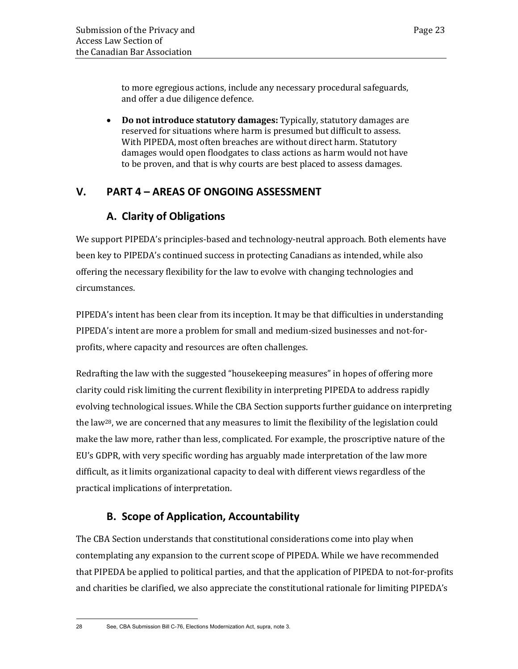to more egregious actions, include any necessary procedural safeguards, and offer a due diligence defence.

• **Do not introduce statutory damages:** Typically, statutory damages are reserved for situations where harm is presumed but difficult to assess. With PIPEDA, most often breaches are without direct harm. Statutory damages would open floodgates to class actions as harm would not have to be proven, and that is why courts are best placed to assess damages.

### <span id="page-26-1"></span><span id="page-26-0"></span>**V. PART 4 – AREAS OF ONGOING ASSESSMENT**

## **A. Clarity of Obligations**

We support PIPEDA's principles-based and technology-neutral approach. Both elements have been key to PIPEDA's continued success in protecting Canadians as intended, while also offering the necessary flexibility for the law to evolve with changing technologies and circumstances.

PIPEDA's intent has been clear from its inception. It may be that difficulties in understanding PIPEDA's intent are more a problem for small and medium-sized businesses and not-forprofits, where capacity and resources are often challenges.

Redrafting the law with the suggested "housekeeping measures" in hopes of offering more clarity could risk limiting the current flexibility in interpreting PIPEDA to address rapidly evolving technological issues. While the CBA Section supports further guidance on interpreting the law<sup>28</sup>, we are concerned that any measures to limit the flexibility of the legislation could make the law more, rather than less, complicated. For example, the proscriptive nature of the EU's GDPR, with very specific wording has arguably made interpretation of the law more difficult, as it limits organizational capacity to deal with different views regardless of the practical implications of interpretation.

# **B. Scope of Application, Accountability**

<span id="page-26-2"></span>The CBA Section understands that constitutional considerations come into play when contemplating any expansion to the current scope of PIPEDA. While we have recommended that PIPEDA be applied to political parties, and that the application of PIPEDA to not-for-profits and charities be clarified, we also appreciate the constitutional rationale for limiting PIPEDA's

<sup>28</sup> See, CBA Submission Bill C-76, Elections Modernization Act, supra, note 3.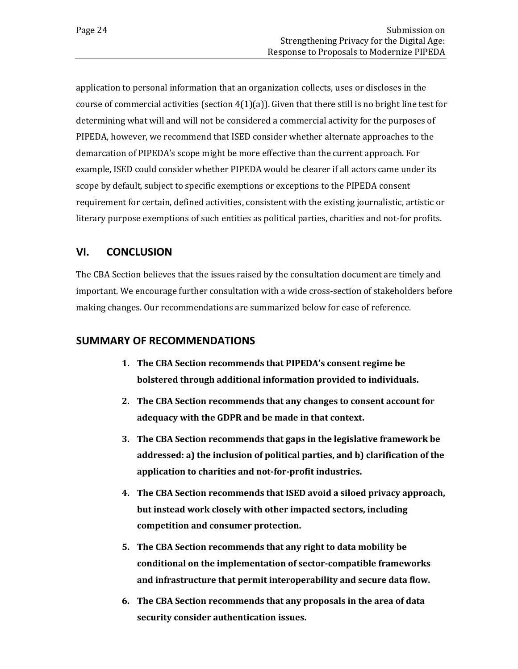application to personal information that an organization collects, uses or discloses in the course of commercial activities (section  $4(1)(a)$ ). Given that there still is no bright line test for determining what will and will not be considered a commercial activity for the purposes of PIPEDA, however, we recommend that ISED consider whether alternate approaches to the demarcation of PIPEDA's scope might be more effective than the current approach. For example, ISED could consider whether PIPEDA would be clearer if all actors came under its scope by default, subject to specific exemptions or exceptions to the PIPEDA consent requirement for certain, defined activities, consistent with the existing journalistic, artistic or literary purpose exemptions of such entities as political parties, charities and not-for profits.

### <span id="page-27-0"></span>**VI. CONCLUSION**

The CBA Section believes that the issues raised by the consultation document are timely and important. We encourage further consultation with a wide cross-section of stakeholders before making changes. Our recommendations are summarized below for ease of reference.

### <span id="page-27-1"></span>**SUMMARY OF RECOMMENDATIONS**

- **1. The CBA Section recommends that PIPEDA's consent regime be bolstered through additional information provided to individuals.**
- **2. The CBA Section recommends that any changes to consent account for adequacy with the GDPR and be made in that context.**
- **3. The CBA Section recommends that gaps in the legislative framework be addressed: a) the inclusion of political parties, and b) clarification of the application to charities and not-for-profit industries.**
- **4. The CBA Section recommends that ISED avoid a siloed privacy approach, but instead work closely with other impacted sectors, including competition and consumer protection.**
- **5. The CBA Section recommends that any right to data mobility be conditional on the implementation of sector-compatible frameworks and infrastructure that permit interoperability and secure data flow.**
- **6. The CBA Section recommends that any proposals in the area of data security consider authentication issues.**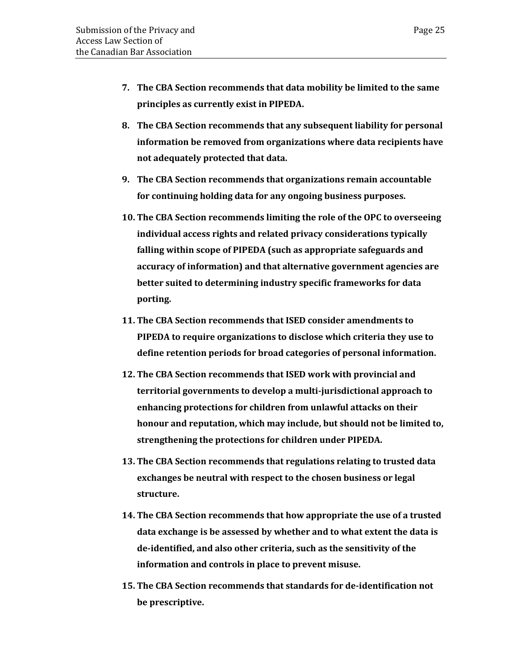- **7. The CBA Section recommends that data mobility be limited to the same principles as currently exist in PIPEDA.**
- **8. The CBA Section recommends that any subsequent liability for personal information be removed from organizations where data recipients have not adequately protected that data.**
- **9. The CBA Section recommends that organizations remain accountable for continuing holding data for any ongoing business purposes.**
- **10. The CBA Section recommends limiting the role of the OPC to overseeing individual access rights and related privacy considerations typically falling within scope of PIPEDA (such as appropriate safeguards and accuracy of information) and that alternative government agencies are better suited to determining industry specific frameworks for data porting.**
- **11. The CBA Section recommends that ISED consider amendments to PIPEDA to require organizations to disclose which criteria they use to define retention periods for broad categories of personal information.**
- **12. The CBA Section recommends that ISED work with provincial and territorial governments to develop a multi-jurisdictional approach to enhancing protections for children from unlawful attacks on their honour and reputation, which may include, but should not be limited to, strengthening the protections for children under PIPEDA.**
- **13. The CBA Section recommends that regulations relating to trusted data exchanges be neutral with respect to the chosen business or legal structure.**
- **14. The CBA Section recommends that how appropriate the use of a trusted data exchange is be assessed by whether and to what extent the data is de-identified, and also other criteria, such as the sensitivity of the information and controls in place to prevent misuse.**
- **15. The CBA Section recommends that standards for de-identification not be prescriptive.**